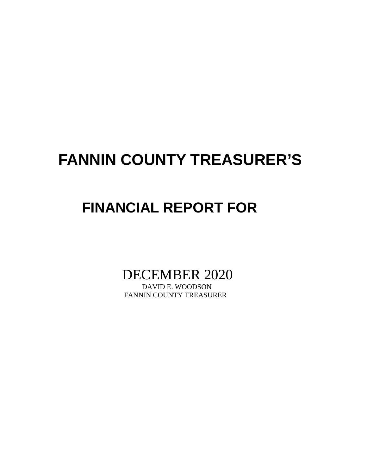## **FANNIN COUNTY TREASURER'S**

## **FINANCIAL REPORT FOR**

DECEMBER 2020

FANNIN COUNTY TREASURER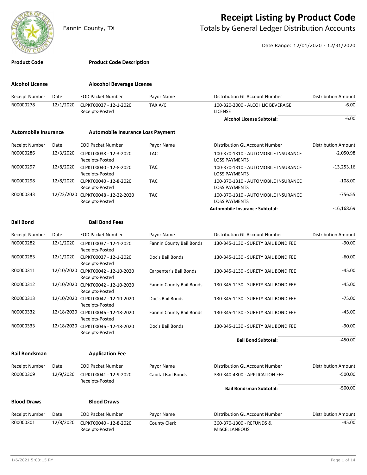

## **Receipt Listing by Product Code**

Fannin County, TX **The County of Totals by General Ledger Distribution Accounts** 

Date Range: 12/01/2020 - 12/31/2020

| <b>Product Code</b>         |           | <b>Product Code Description</b>                       |                          |                                                             |                            |
|-----------------------------|-----------|-------------------------------------------------------|--------------------------|-------------------------------------------------------------|----------------------------|
| <b>Alcohol License</b>      |           | <b>Alocohol Beverage License</b>                      |                          |                                                             |                            |
| <b>Receipt Number</b>       | Date      | <b>EOD Packet Number</b>                              | Payor Name               | Distribution GL Account Number                              | <b>Distribution Amount</b> |
| R00000278                   | 12/1/2020 | CLPKT00037 - 12-1-2020<br>Receipts-Posted             | TAX A/C                  | 100-320-2000 - ALCOHLIC BEVERAGE<br><b>LICENSE</b>          | $-6.00$                    |
|                             |           |                                                       |                          | <b>Alcohol License Subtotal:</b>                            | $-6.00$                    |
| <b>Automobile Insurance</b> |           | <b>Automobile Insurance Loss Payment</b>              |                          |                                                             |                            |
| <b>Receipt Number</b>       | Date      | <b>EOD Packet Number</b>                              | Payor Name               | Distribution GL Account Number                              | <b>Distribution Amount</b> |
| R00000286                   | 12/3/2020 | CLPKT00038 - 12-3-2020<br>Receipts-Posted             | <b>TAC</b>               | 100-370-1310 - AUTOMOBILE INSURANCE<br><b>LOSS PAYMENTS</b> | $-2,050.98$                |
| R00000297                   | 12/8/2020 | CLPKT00040 - 12-8-2020<br>Receipts-Posted             | <b>TAC</b>               | 100-370-1310 - AUTOMOBILE INSURANCE<br><b>LOSS PAYMENTS</b> | $-13,253.16$               |
| R00000298                   | 12/8/2020 | CLPKT00040 - 12-8-2020<br>Receipts-Posted             | <b>TAC</b>               | 100-370-1310 - AUTOMOBILE INSURANCE<br><b>LOSS PAYMENTS</b> | $-108.00$                  |
| R00000343                   |           | 12/22/2020 CLPKT00048 - 12-22-2020<br>Receipts-Posted | <b>TAC</b>               | 100-370-1310 - AUTOMOBILE INSURANCE<br><b>LOSS PAYMENTS</b> | $-756.55$                  |
|                             |           |                                                       |                          | Automobile Insurance Subtotal:                              | $-16,168.69$               |
| <b>Bail Bond</b>            |           | <b>Bail Bond Fees</b>                                 |                          |                                                             |                            |
| <b>Receipt Number</b>       | Date      | <b>EOD Packet Number</b>                              | Payor Name               | Distribution GL Account Number                              | <b>Distribution Amount</b> |
| R00000282                   | 12/1/2020 | CLPKT00037 - 12-1-2020<br>Receipts-Posted             | Fannin County Bail Bonds | 130-345-1130 - SURETY BAIL BOND FEE                         | $-90.00$                   |
| R00000283                   | 12/1/2020 | CLPKT00037 - 12-1-2020<br>Receipts-Posted             | Doc's Bail Bonds         | 130-345-1130 - SURETY BAIL BOND FEE                         | $-60.00$                   |
| R00000311                   |           | 12/10/2020 CLPKT00042 - 12-10-2020<br>Receipts-Posted | Carpenter's Bail Bonds   | 130-345-1130 - SURETY BAIL BOND FEE                         | $-45.00$                   |
| R00000312                   |           | 12/10/2020 CLPKT00042 - 12-10-2020<br>Receipts-Posted | Fannin County Bail Bonds | 130-345-1130 - SURETY BAIL BOND FEE                         | $-45.00$                   |
| R00000313                   |           | 12/10/2020 CLPKT00042 - 12-10-2020<br>Receipts-Posted | Doc's Bail Bonds         | 130-345-1130 - SURETY BAIL BOND FEE                         | $-75.00$                   |
| R00000332                   |           | 12/18/2020 CLPKT00046 - 12-18-2020<br>Receipts-Posted | Fannin County Bail Bonds | 130-345-1130 - SURETY BAIL BOND FEE                         | -45.00                     |
| R00000333                   |           | 12/18/2020 CLPKT00046 - 12-18-2020<br>Receipts-Posted | Doc's Bail Bonds         | 130-345-1130 - SURETY BAIL BOND FEE                         | $-90.00$                   |
|                             |           |                                                       |                          | <b>Bail Bond Subtotal:</b>                                  | $-450.00$                  |
| <b>Bail Bondsman</b>        |           | <b>Application Fee</b>                                |                          |                                                             |                            |
| <b>Receipt Number</b>       | Date      | <b>EOD Packet Number</b>                              | Payor Name               | Distribution GL Account Number                              | <b>Distribution Amount</b> |
| R00000309                   | 12/9/2020 | CLPKT00041 - 12-9-2020<br>Receipts-Posted             | Capital Bail Bonds       | 330-340-4800 - APPLICATION FEE                              | $-500.00$                  |
|                             |           |                                                       |                          | <b>Bail Bondsman Subtotal:</b>                              | $-500.00$                  |
| <b>Blood Draws</b>          |           | <b>Blood Draws</b>                                    |                          |                                                             |                            |
| <b>Receipt Number</b>       | Date      | <b>EOD Packet Number</b>                              | Payor Name               | Distribution GL Account Number                              | <b>Distribution Amount</b> |
| R00000301                   | 12/8/2020 | CLPKT00040 - 12-8-2020<br>Receipts-Posted             | <b>County Clerk</b>      | 360-370-1300 - REFUNDS &<br>MISCELLANEOUS                   | $-45.00$                   |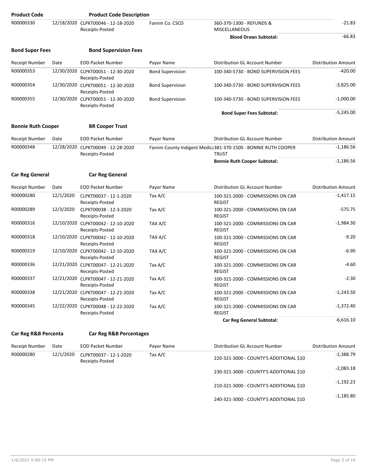| <b>Product Code</b>       |           | <b>Product Code Description</b>                       |                         |                                                                                 |                            |
|---------------------------|-----------|-------------------------------------------------------|-------------------------|---------------------------------------------------------------------------------|----------------------------|
| R00000330                 |           | 12/18/2020 CLPKT00046 - 12-18-2020<br>Receipts-Posted | Fannin Co. CSCD         | 360-370-1300 - REFUNDS &<br><b>MISCELLANEOUS</b>                                | $-21.83$                   |
|                           |           |                                                       |                         | <b>Blood Draws Subtotal:</b>                                                    | $-66.83$                   |
| <b>Bond Super Fees</b>    |           | <b>Bond Supervision Fees</b>                          |                         |                                                                                 |                            |
| <b>Receipt Number</b>     | Date      | <b>EOD Packet Number</b>                              | Payor Name              | Distribution GL Account Number                                                  | <b>Distribution Amount</b> |
| R00000353                 |           | 12/30/2020 CLPKT00051 - 12-30-2020<br>Receipts-Posted | <b>Bond Supervision</b> | 100-340-5730 - BOND SUPERVISION FEES                                            | $-420.00$                  |
| R00000354                 |           | 12/30/2020 CLPKT00051 - 12-30-2020<br>Receipts-Posted | <b>Bond Supervision</b> | 100-340-5730 - BOND SUPERVISION FEES                                            | $-3,825.00$                |
| R00000355                 |           | 12/30/2020 CLPKT00051 - 12-30-2020<br>Receipts-Posted | <b>Bond Supervision</b> | 100-340-5730 - BOND SUPERVISION FEES                                            | $-1,000.00$                |
|                           |           |                                                       |                         | <b>Bond Super Fees Subtotal:</b>                                                | $-5,245.00$                |
| <b>Bonnie Ruth Cooper</b> |           | <b>BR Cooper Trust</b>                                |                         |                                                                                 |                            |
| Receipt Number            | Date      | <b>EOD Packet Number</b>                              | Payor Name              | Distribution GL Account Number                                                  | <b>Distribution Amount</b> |
| R00000348                 |           | 12/28/2020 CLPKT00049 - 12-28-2020<br>Receipts-Posted |                         | Fannin County Indigent Medica 381-370-1500 - BONNIE RUTH COOPER<br><b>TRUST</b> | $-1,186.56$                |
|                           |           |                                                       |                         | <b>Bonnie Ruth Cooper Subtotal:</b>                                             | $-1,186.56$                |
| <b>Car Reg General</b>    |           | <b>Car Reg General</b>                                |                         |                                                                                 |                            |
| <b>Receipt Number</b>     | Date      | <b>EOD Packet Number</b>                              | Payor Name              | Distribution GL Account Number                                                  | <b>Distribution Amount</b> |
| R00000280                 | 12/1/2020 | CLPKT00037 - 12-1-2020<br>Receipts-Posted             | Tax A/C                 | 100-321-2000 - COMMISSIONS ON CAR<br><b>REGIST</b>                              | $-1,417.15$                |
| R00000289                 | 12/3/2020 | CLPKT00038 - 12-3-2020<br>Receipts-Posted             | Tax A/C                 | 100-321-2000 - COMMISSIONS ON CAR<br><b>REGIST</b>                              | $-575.75$                  |
| R00000316                 |           | 12/10/2020 CLPKT00042 - 12-10-2020<br>Receipts-Posted | TAX A/C                 | 100-321-2000 - COMMISSIONS ON CAR<br><b>REGIST</b>                              | $-1,984.30$                |
| R00000318                 |           | 12/10/2020 CLPKT00042 - 12-10-2020<br>Receipts-Posted | TAX A/C                 | 100-321-2000 - COMMISSIONS ON CAR<br><b>REGIST</b>                              | $-9.20$                    |
| R00000319                 |           | 12/10/2020 CLPKT00042 - 12-10-2020<br>Receipts-Posted | TAX A/C                 | 100-321-2000 - COMMISSIONS ON CAR<br><b>REGIST</b>                              | $-6.90$                    |
| R00000336                 |           | 12/21/2020 CLPKT00047 - 12-21-2020<br>Receipts-Posted | Tax $A/C$               | 100-321-2000 - COMMISSIONS ON CAR<br><b>REGIST</b>                              | $-4.60$                    |
| R00000337                 |           | 12/21/2020 CLPKT00047 - 12-21-2020<br>Receipts-Posted | Tax A/C                 | 100-321-2000 - COMMISSIONS ON CAR<br><b>REGIST</b>                              | $-2.30$                    |
| R00000338                 |           | 12/21/2020 CLPKT00047 - 12-21-2020<br>Receipts-Posted | Tax A/C                 | 100-321-2000 - COMMISSIONS ON CAR<br><b>REGIST</b>                              | $-1,243.50$                |
| R00000345                 |           | 12/22/2020 CLPKT00048 - 12-22-2020<br>Receipts-Posted | Tax $A/C$               | 100-321-2000 - COMMISSIONS ON CAR<br><b>REGIST</b>                              | $-1,372.40$                |
|                           |           |                                                       |                         | <b>Car Reg General Subtotal:</b>                                                | $-6,616.10$                |
| Car Reg R&B Percenta      |           | <b>Car Reg R&amp;B Percentages</b>                    |                         |                                                                                 |                            |
| <b>Receipt Number</b>     | Date      | <b>EOD Packet Number</b>                              | Payor Name              | Distribution GL Account Number                                                  | Distribution Amount        |
| R00000280                 | 12/1/2020 | CLPKT00037 - 12-1-2020<br>Receipts-Posted             | Tax $A/C$               | 220-321-3000 - COUNTY'S ADDITIONAL \$10                                         | $-1,388.79$                |
|                           |           |                                                       |                         | 230-321-3000 - COUNTY'S ADDITIONAL \$10                                         | $-2,083.18$                |
|                           |           |                                                       |                         | 210-321-3000 - COUNTY'S ADDITIONAL \$10                                         | $-1,192.23$                |
|                           |           |                                                       |                         |                                                                                 |                            |

-1,185.80 240-321-3000 - COUNTY'S ADDITIONAL \$10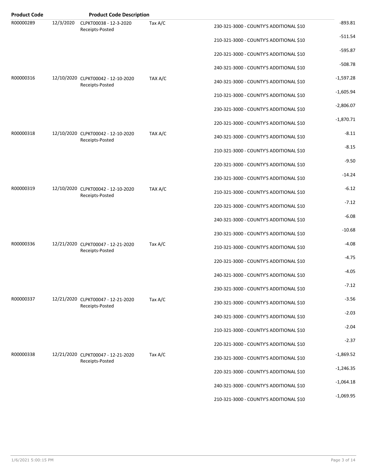| <b>Product Code</b> |           | <b>Product Code Description</b>                       |         |                                         |             |
|---------------------|-----------|-------------------------------------------------------|---------|-----------------------------------------|-------------|
| R00000289           | 12/3/2020 | CLPKT00038 - 12-3-2020<br>Receipts-Posted             | Tax A/C | 230-321-3000 - COUNTY'S ADDITIONAL \$10 | $-893.81$   |
|                     |           |                                                       |         | 210-321-3000 - COUNTY'S ADDITIONAL \$10 | $-511.54$   |
|                     |           |                                                       |         | 220-321-3000 - COUNTY'S ADDITIONAL \$10 | $-595.87$   |
|                     |           |                                                       |         | 240-321-3000 - COUNTY'S ADDITIONAL \$10 | $-508.78$   |
| R00000316           |           | 12/10/2020 CLPKT00042 - 12-10-2020<br>Receipts-Posted | TAX A/C | 240-321-3000 - COUNTY'S ADDITIONAL \$10 | $-1,597.28$ |
|                     |           |                                                       |         | 210-321-3000 - COUNTY'S ADDITIONAL \$10 | $-1,605.94$ |
|                     |           |                                                       |         | 230-321-3000 - COUNTY'S ADDITIONAL \$10 | $-2,806.07$ |
|                     |           |                                                       |         | 220-321-3000 - COUNTY'S ADDITIONAL \$10 | $-1,870.71$ |
| R00000318           |           | 12/10/2020 CLPKT00042 - 12-10-2020<br>Receipts-Posted | TAX A/C | 240-321-3000 - COUNTY'S ADDITIONAL \$10 | $-8.11$     |
|                     |           |                                                       |         | 210-321-3000 - COUNTY'S ADDITIONAL \$10 | $-8.15$     |
|                     |           |                                                       |         | 220-321-3000 - COUNTY'S ADDITIONAL \$10 | $-9.50$     |
|                     |           |                                                       |         | 230-321-3000 - COUNTY'S ADDITIONAL \$10 | $-14.24$    |
| R00000319           |           | 12/10/2020 CLPKT00042 - 12-10-2020<br>Receipts-Posted | TAX A/C | 210-321-3000 - COUNTY'S ADDITIONAL \$10 | $-6.12$     |
|                     |           |                                                       |         | 220-321-3000 - COUNTY'S ADDITIONAL \$10 | $-7.12$     |
|                     |           |                                                       |         | 240-321-3000 - COUNTY'S ADDITIONAL \$10 | $-6.08$     |
|                     |           |                                                       |         | 230-321-3000 - COUNTY'S ADDITIONAL \$10 | $-10.68$    |
| R00000336           |           | 12/21/2020 CLPKT00047 - 12-21-2020<br>Receipts-Posted | Tax A/C | 210-321-3000 - COUNTY'S ADDITIONAL \$10 | $-4.08$     |
|                     |           |                                                       |         | 220-321-3000 - COUNTY'S ADDITIONAL \$10 | $-4.75$     |
|                     |           |                                                       |         | 240-321-3000 - COUNTY'S ADDITIONAL \$10 | $-4.05$     |
|                     |           |                                                       |         | 230-321-3000 - COUNTY'S ADDITIONAL \$10 | $-7.12$     |
| R00000337           |           | 12/21/2020 CLPKT00047 - 12-21-2020<br>Receipts-Posted | Tax A/C | 230-321-3000 - COUNTY'S ADDITIONAL \$10 | $-3.56$     |
|                     |           |                                                       |         | 240-321-3000 - COUNTY'S ADDITIONAL \$10 | $-2.03$     |
|                     |           |                                                       |         | 210-321-3000 - COUNTY'S ADDITIONAL \$10 | $-2.04$     |
|                     |           |                                                       |         | 220-321-3000 - COUNTY'S ADDITIONAL \$10 | $-2.37$     |
| R00000338           |           | 12/21/2020 CLPKT00047 - 12-21-2020<br>Receipts-Posted | Tax A/C | 230-321-3000 - COUNTY'S ADDITIONAL \$10 | $-1,869.52$ |
|                     |           |                                                       |         | 220-321-3000 - COUNTY'S ADDITIONAL \$10 | $-1,246.35$ |
|                     |           |                                                       |         | 240-321-3000 - COUNTY'S ADDITIONAL \$10 | $-1,064.18$ |
|                     |           |                                                       |         | 210-321-3000 - COUNTY'S ADDITIONAL \$10 | $-1,069.95$ |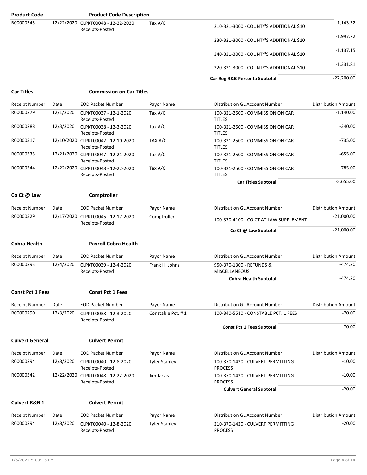| <b>Product Code</b>      |           | <b>Product Code Description</b>                       |                      |                                                     |                            |
|--------------------------|-----------|-------------------------------------------------------|----------------------|-----------------------------------------------------|----------------------------|
| R00000345                |           | 12/22/2020 CLPKT00048 - 12-22-2020<br>Receipts-Posted | Tax A/C              | 210-321-3000 - COUNTY'S ADDITIONAL \$10             | $-1,143.32$                |
|                          |           |                                                       |                      | 230-321-3000 - COUNTY'S ADDITIONAL \$10             | -1,997.72                  |
|                          |           |                                                       |                      | 240-321-3000 - COUNTY'S ADDITIONAL \$10             | -1,137.15                  |
|                          |           |                                                       |                      | 220-321-3000 - COUNTY'S ADDITIONAL \$10             | $-1,331.81$                |
|                          |           |                                                       |                      | Car Reg R&B Percenta Subtotal:                      | $-27,200.00$               |
| <b>Car Titles</b>        |           | <b>Commission on Car Titles</b>                       |                      |                                                     |                            |
| <b>Receipt Number</b>    | Date      | <b>EOD Packet Number</b>                              | Payor Name           | Distribution GL Account Number                      | <b>Distribution Amount</b> |
| R00000279                | 12/1/2020 | CLPKT00037 - 12-1-2020<br>Receipts-Posted             | Tax A/C              | 100-321-2500 - COMMISSION ON CAR<br><b>TITLES</b>   | $-1,140.00$                |
| R00000288                | 12/3/2020 | CLPKT00038 - 12-3-2020<br>Receipts-Posted             | Tax A/C              | 100-321-2500 - COMMISSION ON CAR<br><b>TITLES</b>   | $-340.00$                  |
| R00000317                |           | 12/10/2020 CLPKT00042 - 12-10-2020<br>Receipts-Posted | TAX A/C              | 100-321-2500 - COMMISSION ON CAR<br><b>TITLES</b>   | $-735.00$                  |
| R00000335                |           | 12/21/2020 CLPKT00047 - 12-21-2020<br>Receipts-Posted | Tax $A/C$            | 100-321-2500 - COMMISSION ON CAR<br><b>TITLES</b>   | $-655.00$                  |
| R00000344                |           | 12/22/2020 CLPKT00048 - 12-22-2020<br>Receipts-Posted | Tax A/C              | 100-321-2500 - COMMISSION ON CAR<br><b>TITLES</b>   | $-785.00$                  |
|                          |           |                                                       |                      | <b>Car Titles Subtotal:</b>                         | $-3,655.00$                |
| Co Ct @ Law              |           | Comptroller                                           |                      |                                                     |                            |
| Receipt Number           | Date      | <b>EOD Packet Number</b>                              | Payor Name           | Distribution GL Account Number                      | <b>Distribution Amount</b> |
| R00000329                |           | 12/17/2020 CLPKT00045 - 12-17-2020<br>Receipts-Posted | Comptroller          | 100-370-4100 - CO CT AT LAW SUPPLEMENT              | $-21,000.00$               |
|                          |           |                                                       |                      | Co Ct @ Law Subtotal:                               | $-21,000.00$               |
| <b>Cobra Health</b>      |           | <b>Payroll Cobra Health</b>                           |                      |                                                     |                            |
| <b>Receipt Number</b>    | Date      | <b>EOD Packet Number</b>                              | Payor Name           | <b>Distribution GL Account Number</b>               | <b>Distribution Amount</b> |
| R00000293                | 12/4/2020 | CLPKT00039 - 12-4-2020<br>Receipts-Posted             | Frank H. Johns       | 950-370-1300 - REFUNDS &<br><b>MISCELLANEOUS</b>    | $-474.20$                  |
|                          |           |                                                       |                      | <b>Cobra Health Subtotal:</b>                       | $-474.20$                  |
| <b>Const Pct 1 Fees</b>  |           | <b>Const Pct 1 Fees</b>                               |                      |                                                     |                            |
| <b>Receipt Number</b>    | Date      | <b>EOD Packet Number</b>                              | Payor Name           | Distribution GL Account Number                      | <b>Distribution Amount</b> |
| R00000290                | 12/3/2020 | CLPKT00038 - 12-3-2020<br>Receipts-Posted             | Constable Pct. #1    | 100-340-5510 - CONSTABLE PCT. 1 FEES                | $-70.00$                   |
|                          |           |                                                       |                      | <b>Const Pct 1 Fees Subtotal:</b>                   | $-70.00$                   |
| <b>Culvert General</b>   |           | <b>Culvert Permit</b>                                 |                      |                                                     |                            |
| <b>Receipt Number</b>    | Date      | <b>EOD Packet Number</b>                              | Payor Name           | Distribution GL Account Number                      | <b>Distribution Amount</b> |
| R00000294                | 12/8/2020 | CLPKT00040 - 12-8-2020<br>Receipts-Posted             | <b>Tyler Stanley</b> | 100-370-1420 - CULVERT PERMITTING<br><b>PROCESS</b> | $-10.00$                   |
| R00000342                |           | 12/22/2020 CLPKT00048 - 12-22-2020<br>Receipts-Posted | Jim Jarvis           | 100-370-1420 - CULVERT PERMITTING<br><b>PROCESS</b> | $-10.00$                   |
|                          |           |                                                       |                      | <b>Culvert General Subtotal:</b>                    | $-20.00$                   |
| <b>Culvert R&amp;B 1</b> |           | <b>Culvert Permit</b>                                 |                      |                                                     |                            |
| <b>Receipt Number</b>    | Date      | <b>EOD Packet Number</b>                              | Payor Name           | Distribution GL Account Number                      | <b>Distribution Amount</b> |
| R00000294                | 12/8/2020 | CLPKT00040 - 12-8-2020<br>Receipts-Posted             | <b>Tyler Stanley</b> | 210-370-1420 - CULVERT PERMITTING<br><b>PROCESS</b> | $-20.00$                   |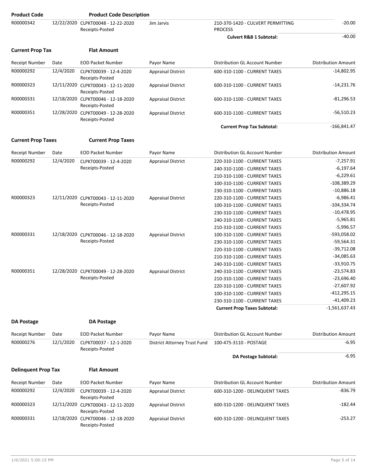| <b>Product Code</b>        |           | <b>Product Code Description</b>                       |                              |                                                     |                              |
|----------------------------|-----------|-------------------------------------------------------|------------------------------|-----------------------------------------------------|------------------------------|
| R00000342                  |           | 12/22/2020 CLPKT00048 - 12-22-2020<br>Receipts-Posted | Jim Jarvis                   | 210-370-1420 - CULVERT PERMITTING<br><b>PROCESS</b> | $-20.00$                     |
|                            |           |                                                       |                              | <b>Culvert R&amp;B 1 Subtotal:</b>                  | $-40.00$                     |
| <b>Current Prop Tax</b>    |           | <b>Flat Amount</b>                                    |                              |                                                     |                              |
| <b>Receipt Number</b>      | Date      | <b>EOD Packet Number</b>                              | Payor Name                   | Distribution GL Account Number                      | <b>Distribution Amount</b>   |
| R00000292                  | 12/4/2020 | CLPKT00039 - 12-4-2020<br>Receipts-Posted             | <b>Appraisal District</b>    | 600-310-1100 - CURRENT TAXES                        | $-14,802.95$                 |
| R00000323                  |           | 12/11/2020 CLPKT00043 - 12-11-2020<br>Receipts-Posted | <b>Appraisal District</b>    | 600-310-1100 - CURRENT TAXES                        | $-14,231.76$                 |
| R00000331                  |           | 12/18/2020 CLPKT00046 - 12-18-2020<br>Receipts-Posted | <b>Appraisal District</b>    | 600-310-1100 - CURRENT TAXES                        | $-81,296.53$                 |
| R00000351                  |           | 12/28/2020 CLPKT00049 - 12-28-2020<br>Receipts-Posted | <b>Appraisal District</b>    | 600-310-1100 - CURRENT TAXES                        | $-56,510.23$                 |
|                            |           |                                                       |                              | <b>Current Prop Tax Subtotal:</b>                   | $-166,841.47$                |
| <b>Current Prop Taxes</b>  |           | <b>Current Prop Taxes</b>                             |                              |                                                     |                              |
| <b>Receipt Number</b>      | Date      | <b>EOD Packet Number</b>                              | Payor Name                   | Distribution GL Account Number                      | <b>Distribution Amount</b>   |
| R00000292                  | 12/4/2020 | CLPKT00039 - 12-4-2020                                | <b>Appraisal District</b>    | 220-310-1100 - CURRENT TAXES                        | $-7,257.91$                  |
|                            |           | Receipts-Posted                                       |                              | 240-310-1100 - CURRENT TAXES                        | $-6,197.64$                  |
|                            |           |                                                       |                              | 210-310-1100 - CURRENT TAXES                        | $-6,229.61$                  |
|                            |           |                                                       |                              | 100-310-1100 - CURRENT TAXES                        | $-108,389.29$                |
|                            |           |                                                       |                              | 230-310-1100 - CURRENT TAXES                        | $-10,886.18$                 |
| R00000323                  |           | 12/11/2020 CLPKT00043 - 12-11-2020                    | <b>Appraisal District</b>    | 220-310-1100 - CURRENT TAXES                        | $-6,986.41$                  |
|                            |           | Receipts-Posted                                       |                              | 100-310-1100 - CURRENT TAXES                        | $-104,334.74$                |
|                            |           |                                                       |                              | 230-310-1100 - CURRENT TAXES                        | $-10,478.95$                 |
|                            |           |                                                       |                              | 240-310-1100 - CURRENT TAXES                        | $-5,965.81$                  |
|                            |           |                                                       |                              | 210-310-1100 - CURRENT TAXES                        | $-5,996.57$                  |
| R00000331                  |           | 12/18/2020 CLPKT00046 - 12-18-2020                    | <b>Appraisal District</b>    | 100-310-1100 - CURRENT TAXES                        | -593,058.02                  |
|                            |           | Receipts-Posted                                       |                              | 230-310-1100 - CURRENT TAXES                        | $-59,564.31$                 |
|                            |           |                                                       |                              | 220-310-1100 - CURRENT TAXES                        | $-39,712.08$                 |
|                            |           |                                                       |                              |                                                     | $-34,085.63$                 |
|                            |           |                                                       |                              | 210-310-1100 - CURRENT TAXES                        | $-33,910.75$                 |
|                            |           |                                                       |                              | 240-310-1100 - CURRENT TAXES                        |                              |
| R00000351                  |           | 12/28/2020 CLPKT00049 - 12-28-2020<br>Receipts-Posted | <b>Appraisal District</b>    | 240-310-1100 - CURRENT TAXES                        | $-23,574.83$<br>$-23,696.40$ |
|                            |           |                                                       |                              | 210-310-1100 - CURRENT TAXES                        |                              |
|                            |           |                                                       |                              | 220-310-1100 - CURRENT TAXES                        | $-27,607.92$                 |
|                            |           |                                                       |                              | 100-310-1100 - CURRENT TAXES                        | $-412,295.15$                |
|                            |           |                                                       |                              | 230-310-1100 - CURRENT TAXES                        | $-41,409.23$                 |
|                            |           |                                                       |                              | <b>Current Prop Taxes Subtotal:</b>                 | $-1,561,637.43$              |
| <b>DA Postage</b>          |           | <b>DA Postage</b>                                     |                              |                                                     |                              |
| Receipt Number             | Date      | <b>EOD Packet Number</b>                              | Payor Name                   | Distribution GL Account Number                      | <b>Distribution Amount</b>   |
| R00000276                  | 12/1/2020 | CLPKT00037 - 12-1-2020<br>Receipts-Posted             | District Attorney Trust Fund | 100-475-3110 - POSTAGE                              | $-6.95$                      |
|                            |           |                                                       |                              | <b>DA Postage Subtotal:</b>                         | $-6.95$                      |
| <b>Delinquent Prop Tax</b> |           | <b>Flat Amount</b>                                    |                              |                                                     |                              |
| <b>Receipt Number</b>      | Date      | <b>EOD Packet Number</b>                              | Payor Name                   | Distribution GL Account Number                      | Distribution Amount          |
| R00000292                  | 12/4/2020 | CLPKT00039 - 12-4-2020<br>Receipts-Posted             | <b>Appraisal District</b>    | 600-310-1200 - DELINQUENT TAXES                     | -836.79                      |
| R00000323                  |           | 12/11/2020 CLPKT00043 - 12-11-2020<br>Receipts-Posted | <b>Appraisal District</b>    | 600-310-1200 - DELINQUENT TAXES                     | $-182.44$                    |
| R00000331                  |           | 12/18/2020 CLPKT00046 - 12-18-2020<br>Receipts-Posted | <b>Appraisal District</b>    | 600-310-1200 - DELINQUENT TAXES                     | $-253.27$                    |
|                            |           |                                                       |                              |                                                     |                              |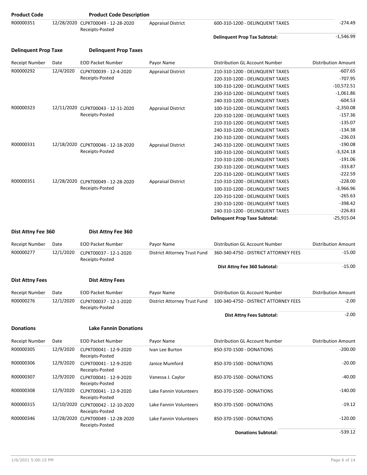| <b>Product Code</b>         |           | <b>Product Code Description</b>                       |                              |                                                                    |                            |
|-----------------------------|-----------|-------------------------------------------------------|------------------------------|--------------------------------------------------------------------|----------------------------|
| R00000351                   |           | 12/28/2020 CLPKT00049 - 12-28-2020<br>Receipts-Posted | <b>Appraisal District</b>    | 600-310-1200 - DELINQUENT TAXES                                    | $-274.49$                  |
|                             |           |                                                       |                              | <b>Delinquent Prop Tax Subtotal:</b>                               | $-1,546.99$                |
| <b>Delinquent Prop Taxe</b> |           | <b>Delinquent Prop Taxes</b>                          |                              |                                                                    |                            |
| <b>Receipt Number</b>       | Date      | <b>EOD Packet Number</b>                              | Payor Name                   | Distribution GL Account Number                                     | <b>Distribution Amount</b> |
| R00000292                   | 12/4/2020 | CLPKT00039 - 12-4-2020                                | <b>Appraisal District</b>    | 210-310-1200 - DELINQUENT TAXES                                    | $-607.65$                  |
|                             |           | Receipts-Posted                                       |                              | 220-310-1200 - DELINQUENT TAXES                                    | $-707.95$                  |
|                             |           |                                                       |                              | 100-310-1200 - DELINQUENT TAXES                                    | $-10,572.51$               |
|                             |           |                                                       |                              | 230-310-1200 - DELINQUENT TAXES                                    | $-1,061.86$                |
|                             |           |                                                       |                              | 240-310-1200 - DELINQUENT TAXES                                    | $-604.53$                  |
| R00000323                   |           | 12/11/2020 CLPKT00043 - 12-11-2020                    | <b>Appraisal District</b>    | 100-310-1200 - DELINQUENT TAXES                                    | $-2,350.08$                |
|                             |           | Receipts-Posted                                       |                              | 220-310-1200 - DELINQUENT TAXES                                    | $-157.36$                  |
|                             |           |                                                       |                              | 210-310-1200 - DELINQUENT TAXES                                    | $-135.07$                  |
|                             |           |                                                       |                              | 240-310-1200 - DELINQUENT TAXES                                    | $-134.38$                  |
|                             |           |                                                       |                              | 230-310-1200 - DELINQUENT TAXES                                    | $-236.03$                  |
| R00000331                   |           | 12/18/2020 CLPKT00046 - 12-18-2020<br>Receipts-Posted | <b>Appraisal District</b>    | 240-310-1200 - DELINQUENT TAXES                                    | $-190.08$                  |
|                             |           |                                                       |                              | 100-310-1200 - DELINQUENT TAXES                                    | $-3,324.18$                |
|                             |           |                                                       |                              | 210-310-1200 - DELINQUENT TAXES                                    | $-191.06$                  |
|                             |           |                                                       |                              | 230-310-1200 - DELINQUENT TAXES<br>220-310-1200 - DELINQUENT TAXES | $-333.87$<br>$-222.59$     |
| R00000351                   |           | 12/28/2020 CLPKT00049 - 12-28-2020                    | <b>Appraisal District</b>    | 210-310-1200 - DELINQUENT TAXES                                    | $-228.00$                  |
|                             |           | Receipts-Posted                                       |                              | 100-310-1200 - DELINQUENT TAXES                                    | $-3,966.96$                |
|                             |           |                                                       |                              | 220-310-1200 - DELINQUENT TAXES                                    | $-265.63$                  |
|                             |           |                                                       |                              | 230-310-1200 - DELINQUENT TAXES                                    | $-398.42$                  |
|                             |           |                                                       |                              | 240-310-1200 - DELINQUENT TAXES                                    | $-226.83$                  |
|                             |           |                                                       |                              | <b>Delinquent Prop Taxe Subtotal:</b>                              | $-25,915.04$               |
|                             |           |                                                       |                              |                                                                    |                            |
| Dist Attny Fee 360          |           | Dist Attny Fee 360                                    |                              |                                                                    |                            |
| <b>Receipt Number</b>       | Date      | <b>EOD Packet Number</b>                              | Payor Name                   | Distribution GL Account Number                                     | <b>Distribution Amount</b> |
| R00000277                   | 12/1/2020 | CLPKT00037 - 12-1-2020<br>Receipts-Posted             | District Attorney Trust Fund | 360-340-4750 - DISTRICT ATTORNEY FEES                              | $-15.00$                   |
|                             |           |                                                       |                              | Dist Attny Fee 360 Subtotal:                                       | $-15.00$                   |
| <b>Dist Attny Fees</b>      |           | <b>Dist Attny Fees</b>                                |                              |                                                                    |                            |
|                             |           |                                                       |                              |                                                                    |                            |
| Receipt Number              | Date      | <b>EOD Packet Number</b>                              | Payor Name                   | Distribution GL Account Number                                     | <b>Distribution Amount</b> |
| R00000276                   | 12/1/2020 | CLPKT00037 - 12-1-2020<br>Receipts-Posted             | District Attorney Trust Fund | 100-340-4750 - DISTRICT ATTORNEY FEES                              | $-2.00$                    |
|                             |           |                                                       |                              | <b>Dist Attny Fees Subtotal:</b>                                   | $-2.00$                    |
| <b>Donations</b>            |           | <b>Lake Fannin Donations</b>                          |                              |                                                                    |                            |
| <b>Receipt Number</b>       | Date      | <b>EOD Packet Number</b>                              | Payor Name                   | Distribution GL Account Number                                     | <b>Distribution Amount</b> |
| R00000305                   | 12/9/2020 | CLPKT00041 - 12-9-2020<br>Receipts-Posted             | Ivan Lee Burton              | 850-370-1500 - DONATIONS                                           | $-200.00$                  |
| R00000306                   | 12/9/2020 | CLPKT00041 - 12-9-2020<br>Receipts-Posted             | Janice Mumford               | 850-370-1500 - DONATIONS                                           | $-20.00$                   |
| R00000307                   | 12/9/2020 | CLPKT00041 - 12-9-2020<br>Receipts-Posted             | Vanessa J. Caylor            | 850-370-1500 - DONATIONS                                           | $-40.00$                   |
| R00000308                   | 12/9/2020 | CLPKT00041 - 12-9-2020<br>Receipts-Posted             | Lake Fannin Volunteers       | 850-370-1500 - DONATIONS                                           | $-140.00$                  |
| R00000315                   |           | 12/10/2020 CLPKT00042 - 12-10-2020<br>Receipts-Posted | Lake Fannin Volunteers       | 850-370-1500 - DONATIONS                                           | $-19.12$                   |
| R00000346                   |           | 12/28/2020 CLPKT00049 - 12-28-2020<br>Receipts-Posted | Lake Fannin Volunteers       | 850-370-1500 - DONATIONS                                           | $-120.00$                  |
|                             |           |                                                       |                              | <b>Donations Subtotal:</b>                                         | $-539.12$                  |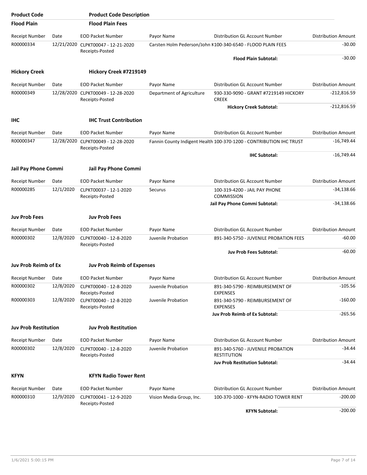| <b>Product Code</b>         |           | <b>Product Code Description</b>                       |                           |                                                                     |                            |
|-----------------------------|-----------|-------------------------------------------------------|---------------------------|---------------------------------------------------------------------|----------------------------|
| <b>Flood Plain</b>          |           | <b>Flood Plain Fees</b>                               |                           |                                                                     |                            |
| Receipt Number              | Date      | <b>EOD Packet Number</b>                              | Payor Name                | Distribution GL Account Number                                      | <b>Distribution Amount</b> |
| R00000334                   |           | 12/21/2020 CLPKT00047 - 12-21-2020<br>Receipts-Posted |                           | Carsten Holm Pederson/John K100-340-6540 - FLOOD PLAIN FEES         | $-30.00$                   |
|                             |           |                                                       |                           | <b>Flood Plain Subtotal:</b>                                        | $-30.00$                   |
| <b>Hickory Creek</b>        |           | Hickory Creek #7219149                                |                           |                                                                     |                            |
| <b>Receipt Number</b>       | Date      | <b>EOD Packet Number</b>                              | Payor Name                | Distribution GL Account Number                                      | <b>Distribution Amount</b> |
| R00000349                   |           | 12/28/2020 CLPKT00049 - 12-28-2020<br>Receipts-Posted | Department of Agriculture | 930-330-9090 - GRANT #7219149 HICKORY<br><b>CREEK</b>               | $-212,816.59$              |
|                             |           |                                                       |                           | <b>Hickory Creek Subtotal:</b>                                      | $-212,816.59$              |
| <b>IHC</b>                  |           | <b>IHC Trust Contribution</b>                         |                           |                                                                     |                            |
| <b>Receipt Number</b>       | Date      | <b>EOD Packet Number</b>                              | Payor Name                | Distribution GL Account Number                                      | <b>Distribution Amount</b> |
| R00000347                   |           | 12/28/2020 CLPKT00049 - 12-28-2020<br>Receipts-Posted |                           | Fannin County Indigent Health 100-370-1200 - CONTRIBUTION IHC TRUST | $-16,749.44$               |
|                             |           |                                                       |                           | <b>IHC Subtotal:</b>                                                | $-16,749.44$               |
| Jail Pay Phone Commi        |           | Jail Pay Phone Commi                                  |                           |                                                                     |                            |
| <b>Receipt Number</b>       | Date      | <b>EOD Packet Number</b>                              | Payor Name                | Distribution GL Account Number                                      | <b>Distribution Amount</b> |
| R00000285                   | 12/1/2020 | CLPKT00037 - 12-1-2020<br>Receipts-Posted             | <b>Securus</b>            | 100-319-4200 - JAIL PAY PHONE<br><b>COMMISSION</b>                  | $-34,138.66$               |
|                             |           |                                                       |                           | Jail Pay Phone Commi Subtotal:                                      | $-34,138.66$               |
| <b>Juv Prob Fees</b>        |           | <b>Juv Prob Fees</b>                                  |                           |                                                                     |                            |
| Receipt Number              | Date      | <b>EOD Packet Number</b>                              | Payor Name                | Distribution GL Account Number                                      | <b>Distribution Amount</b> |
| R00000302                   | 12/8/2020 | CLPKT00040 - 12-8-2020<br>Receipts-Posted             | Juvenile Probation        | 891-340-5750 - JUVENILE PROBATION FEES                              | $-60.00$                   |
|                             |           |                                                       |                           | <b>Juv Prob Fees Subtotal:</b>                                      | $-60.00$                   |
| Juv Prob Reimb of Ex        |           | <b>Juv Prob Reimb of Expenses</b>                     |                           |                                                                     |                            |
| Receipt Number              | Date      | <b>EOD Packet Number</b>                              | Payor Name                | Distribution GL Account Number                                      | Distribution Amount        |
| R00000302                   | 12/8/2020 | CLPKT00040 - 12-8-2020<br>Receipts-Posted             | Juvenile Probation        | 891-340-5790 - REIMBURSEMENT OF<br><b>EXPENSES</b>                  | $-105.56$                  |
| R00000303                   | 12/8/2020 | CLPKT00040 - 12-8-2020<br>Receipts-Posted             | Juvenile Probation        | 891-340-5790 - REIMBURSEMENT OF<br><b>EXPENSES</b>                  | $-160.00$                  |
|                             |           |                                                       |                           | <b>Juv Prob Reimb of Ex Subtotal:</b>                               | $-265.56$                  |
| <b>Juv Prob Restitution</b> |           | <b>Juv Prob Restitution</b>                           |                           |                                                                     |                            |
| Receipt Number              | Date      | <b>EOD Packet Number</b>                              | Payor Name                | Distribution GL Account Number                                      | <b>Distribution Amount</b> |
| R00000302                   | 12/8/2020 | CLPKT00040 - 12-8-2020<br>Receipts-Posted             | Juvenile Probation        | 891-340-5760 - JUVENILE PROBATION<br><b>RESTITUTION</b>             | $-34.44$                   |
|                             |           |                                                       |                           | <b>Juv Prob Restitution Subtotal:</b>                               | $-34.44$                   |
| <b>KFYN</b>                 |           | <b>KFYN Radio Tower Rent</b>                          |                           |                                                                     |                            |
| <b>Receipt Number</b>       | Date      | <b>EOD Packet Number</b>                              | Payor Name                | Distribution GL Account Number                                      | <b>Distribution Amount</b> |
| R00000310                   | 12/9/2020 | CLPKT00041 - 12-9-2020<br>Receipts-Posted             | Vision Media Group, Inc.  | 100-370-1000 - KFYN-RADIO TOWER RENT                                | $-200.00$                  |
|                             |           |                                                       |                           | <b>KFYN Subtotal:</b>                                               | $-200.00$                  |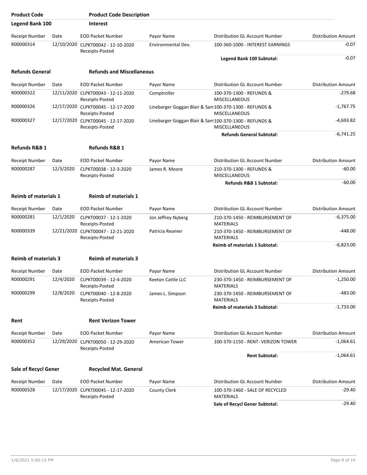| <b>Product Code</b>         |           | <b>Product Code Description</b>                       |                                                       |                                                     |                            |
|-----------------------------|-----------|-------------------------------------------------------|-------------------------------------------------------|-----------------------------------------------------|----------------------------|
| <b>Legend Bank 100</b>      |           | <b>Interest</b>                                       |                                                       |                                                     |                            |
| <b>Receipt Number</b>       | Date      | <b>EOD Packet Number</b>                              | Payor Name                                            | <b>Distribution GL Account Number</b>               | <b>Distribution Amount</b> |
| R00000314                   |           | 12/10/2020 CLPKT00042 - 12-10-2020<br>Receipts-Posted | Environmental Dev.                                    | 100-360-1000 - INTEREST EARNINGS                    | $-0.07$                    |
|                             |           |                                                       |                                                       | Legend Bank 100 Subtotal:                           | $-0.07$                    |
| <b>Refunds General</b>      |           | <b>Refunds and Miscellaneous</b>                      |                                                       |                                                     |                            |
| <b>Receipt Number</b>       | Date      | <b>EOD Packet Number</b>                              | Payor Name                                            | Distribution GL Account Number                      | <b>Distribution Amount</b> |
| R00000322                   |           | 12/11/2020 CLPKT00043 - 12-11-2020<br>Receipts-Posted | Comptroller                                           | 100-370-1300 - REFUNDS &<br><b>MISCELLANEOUS</b>    | $-279.68$                  |
| R00000326                   |           | 12/17/2020 CLPKT00045 - 12-17-2020<br>Receipts-Posted | Linebarger Goggan Blair & Sam100-370-1300 - REFUNDS & | <b>MISCELLANEOUS</b>                                | -1,767.75                  |
| R00000327                   |           | 12/17/2020 CLPKT00045 - 12-17-2020<br>Receipts-Posted | Linebarger Goggan Blair & Sam100-370-1300 - REFUNDS & | MISCELLANEOUS                                       | -4,693.82                  |
|                             |           |                                                       |                                                       | <b>Refunds General Subtotal:</b>                    | $-6.741.25$                |
| <b>Refunds R&amp;B 1</b>    |           | <b>Refunds R&amp;B 1</b>                              |                                                       |                                                     |                            |
| <b>Receipt Number</b>       | Date      | <b>EOD Packet Number</b>                              | Payor Name                                            | Distribution GL Account Number                      | <b>Distribution Amount</b> |
| R00000287                   | 12/3/2020 | CLPKT00038 - 12-3-2020<br>Receipts-Posted             | James R. Moore                                        | 210-370-1300 - REFUNDS &<br><b>MISCELLANEOUS</b>    | $-60.00$                   |
|                             |           |                                                       |                                                       | Refunds R&B 1 Subtotal:                             | $-60.00$                   |
| <b>Reimb of materials 1</b> |           | <b>Reimb of materials 1</b>                           |                                                       |                                                     |                            |
| <b>Receipt Number</b>       | Date      | <b>EOD Packet Number</b>                              | Payor Name                                            | Distribution GL Account Number                      | <b>Distribution Amount</b> |
| R00000281                   | 12/1/2020 | CLPKT00037 - 12-1-2020<br>Receipts-Posted             | Jon Jeffrey Nyberg                                    | 210-370-1450 - REIMBURSEMENT OF<br><b>MATERIALS</b> | -6,375.00                  |
| R00000339                   |           | 12/21/2020 CLPKT00047 - 12-21-2020<br>Receipts-Posted | Patricia Reamer                                       | 210-370-1450 - REIMBURSEMENT OF<br><b>MATERIALS</b> | $-448.00$                  |
|                             |           |                                                       |                                                       | <b>Reimb of materials 1 Subtotal:</b>               | $-6,823.00$                |
| <b>Reimb of materials 3</b> |           | <b>Reimb of materials 3</b>                           |                                                       |                                                     |                            |
| Receipt Number              | Date      | <b>EOD Packet Number</b>                              | Payor Name                                            | Distribution GL Account Number                      | <b>Distribution Amount</b> |
| R00000291                   | 12/4/2020 | CLPKT00039 - 12-4-2020<br>Receipts-Posted             | Keeton Cattle LLC                                     | 230-370-1450 - REIMBURSEMENT OF<br><b>MATERIALS</b> | $-1,250.00$                |
| R00000299                   | 12/8/2020 | CLPKT00040 - 12-8-2020<br>Receipts-Posted             | James L. Simpson                                      | 230-370-1450 - REIMBURSEMENT OF<br><b>MATERIALS</b> | $-483.00$                  |
|                             |           |                                                       |                                                       | <b>Reimb of materials 3 Subtotal:</b>               | $-1,733.00$                |
| Rent                        |           | <b>Rent Verizon Tower</b>                             |                                                       |                                                     |                            |
| Receipt Number              | Date      | <b>EOD Packet Number</b>                              | Payor Name                                            | Distribution GL Account Number                      | <b>Distribution Amount</b> |
| R00000352                   |           | 12/29/2020 CLPKT00050 - 12-29-2020<br>Receipts-Posted | American Tower                                        | 100-370-1150 - RENT- VERIZON TOWER                  | $-1,064.61$                |
|                             |           |                                                       |                                                       | <b>Rent Subtotal:</b>                               | $-1,064.61$                |
| Sale of Recycl Gener        |           | <b>Recycled Mat. General</b>                          |                                                       |                                                     |                            |
| Receipt Number              | Date      | <b>EOD Packet Number</b>                              | Payor Name                                            | Distribution GL Account Number                      | <b>Distribution Amount</b> |
| R00000328                   |           | 12/17/2020 CLPKT00045 - 12-17-2020<br>Receipts-Posted | <b>County Clerk</b>                                   | 100-370-1460 - SALE OF RECYCLED<br><b>MATERIALS</b> | -29.40                     |
|                             |           |                                                       |                                                       | Sale of Recycl Gener Subtotal:                      | $-29.40$                   |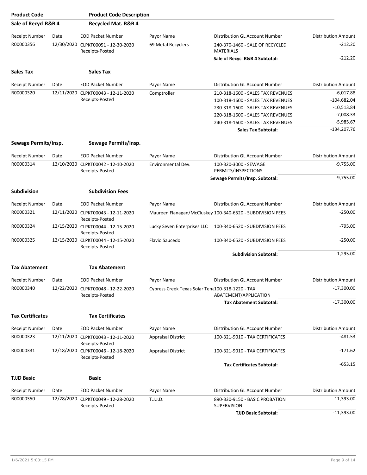| <b>Product Code</b>     |      | <b>Product Code Description</b>                       |                                                  |                                                            |                            |
|-------------------------|------|-------------------------------------------------------|--------------------------------------------------|------------------------------------------------------------|----------------------------|
| Sale of Recycl R&B 4    |      | Recycled Mat. R&B 4                                   |                                                  |                                                            |                            |
| <b>Receipt Number</b>   | Date | <b>EOD Packet Number</b>                              | Payor Name                                       | Distribution GL Account Number                             | <b>Distribution Amount</b> |
| R00000356               |      | 12/30/2020 CLPKT00051 - 12-30-2020<br>Receipts-Posted | 69 Metal Recyclers                               | 240-370-1460 - SALE OF RECYCLED<br><b>MATERIALS</b>        | $-212.20$                  |
|                         |      |                                                       |                                                  | Sale of Recycl R&B 4 Subtotal:                             | $-212.20$                  |
| <b>Sales Tax</b>        |      | <b>Sales Tax</b>                                      |                                                  |                                                            |                            |
| <b>Receipt Number</b>   | Date | <b>EOD Packet Number</b>                              | Payor Name                                       | Distribution GL Account Number                             | <b>Distribution Amount</b> |
| R00000320               |      | 12/11/2020 CLPKT00043 - 12-11-2020                    | Comptroller                                      | 210-318-1600 - SALES TAX REVENUES                          | $-6,017.88$                |
|                         |      | Receipts-Posted                                       |                                                  | 100-318-1600 - SALES TAX REVENUES                          | $-104,682.04$              |
|                         |      |                                                       |                                                  | 230-318-1600 - SALES TAX REVENUES                          | $-10,513.84$               |
|                         |      |                                                       |                                                  | 220-318-1600 - SALES TAX REVENUES                          | $-7,008.33$                |
|                         |      |                                                       |                                                  | 240-318-1600 - SALES TAX REVENUES                          | $-5,985.67$                |
|                         |      |                                                       |                                                  | <b>Sales Tax Subtotal:</b>                                 | $-134,207.76$              |
| Sewage Permits/Insp.    |      | Sewage Permits/Insp.                                  |                                                  |                                                            |                            |
| <b>Receipt Number</b>   | Date | <b>EOD Packet Number</b>                              | Payor Name                                       | <b>Distribution GL Account Number</b>                      | <b>Distribution Amount</b> |
| R00000314               |      | 12/10/2020 CLPKT00042 - 12-10-2020<br>Receipts-Posted | Environmental Dev.                               | 100-320-3000 - SEWAGE<br>PERMITS/INSPECTIONS               | $-9,755.00$                |
|                         |      |                                                       |                                                  | Sewage Permits/Insp. Subtotal:                             | $-9,755.00$                |
| <b>Subdivision</b>      |      | <b>Subdivision Fees</b>                               |                                                  |                                                            |                            |
| <b>Receipt Number</b>   | Date | <b>EOD Packet Number</b>                              | Payor Name                                       | Distribution GL Account Number                             | <b>Distribution Amount</b> |
| R00000321               |      | 12/11/2020 CLPKT00043 - 12-11-2020<br>Receipts-Posted |                                                  | Maureen Flanagan/McCluskey 100-340-6520 - SUBDIVISION FEES | $-250.00$                  |
| R00000324               |      | 12/15/2020 CLPKT00044 - 12-15-2020<br>Receipts-Posted | Lucky Seven Enterprises LLC                      | 100-340-6520 - SUBDIVISION FEES                            | -795.00                    |
| R00000325               |      | 12/15/2020 CLPKT00044 - 12-15-2020<br>Receipts-Posted | Flavio Saucedo                                   | 100-340-6520 - SUBDIVISION FEES                            | $-250.00$                  |
|                         |      |                                                       |                                                  | <b>Subdivision Subtotal:</b>                               | $-1,295.00$                |
| <b>Tax Abatement</b>    |      | <b>Tax Abatement</b>                                  |                                                  |                                                            |                            |
| Receipt Number          | Date | <b>EOD Packet Number</b>                              | Pavor Name                                       | Distribution GL Account Number                             | Distribution Amount        |
| R00000340               |      | 12/22/2020 CLPKT00048 - 12-22-2020<br>Receipts-Posted | Cypress Creek Texas Solar Tena100-318-1220 - TAX | ABATEMENT/APPLICATION                                      | $-17,300.00$               |
|                         |      |                                                       |                                                  | <b>Tax Abatement Subtotal:</b>                             | $-17,300.00$               |
| <b>Tax Certificates</b> |      | <b>Tax Certificates</b>                               |                                                  |                                                            |                            |
| Receipt Number          | Date | <b>EOD Packet Number</b>                              | Payor Name                                       | Distribution GL Account Number                             | <b>Distribution Amount</b> |
| R00000323               |      | 12/11/2020 CLPKT00043 - 12-11-2020<br>Receipts-Posted | <b>Appraisal District</b>                        | 100-321-9010 - TAX CERTIFICATES                            | -481.53                    |
| R00000331               |      | 12/18/2020 CLPKT00046 - 12-18-2020<br>Receipts-Posted | <b>Appraisal District</b>                        | 100-321-9010 - TAX CERTIFICATES                            | -171.62                    |
|                         |      |                                                       |                                                  | <b>Tax Certificates Subtotal:</b>                          | $-653.15$                  |
| <b>TJJD Basic</b>       |      | <b>Basic</b>                                          |                                                  |                                                            |                            |
| <b>Receipt Number</b>   | Date | <b>EOD Packet Number</b>                              | Payor Name                                       | Distribution GL Account Number                             | <b>Distribution Amount</b> |
| R00000350               |      | 12/28/2020 CLPKT00049 - 12-28-2020<br>Receipts-Posted | T.J.J.D.                                         | 890-330-9150 - BASIC PROBATION<br><b>SUPERVISION</b>       | $-11,393.00$               |
|                         |      |                                                       |                                                  | <b>TJJD Basic Subtotal:</b>                                | $-11,393.00$               |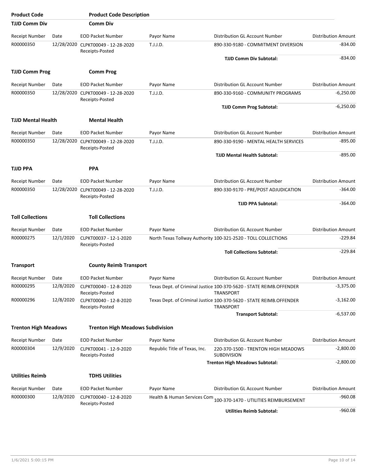| <b>Product Code</b>         |           | <b>Product Code Description</b>                       |                               |                                                                                         |                            |
|-----------------------------|-----------|-------------------------------------------------------|-------------------------------|-----------------------------------------------------------------------------------------|----------------------------|
| <b>TJJD Comm Div</b>        |           | <b>Comm Div</b>                                       |                               |                                                                                         |                            |
| <b>Receipt Number</b>       | Date      | <b>EOD Packet Number</b>                              | Payor Name                    | Distribution GL Account Number                                                          | <b>Distribution Amount</b> |
| R00000350                   |           | 12/28/2020 CLPKT00049 - 12-28-2020<br>Receipts-Posted | T.J.J.D.                      | 890-330-9180 - COMMITMENT DIVERSION                                                     | -834.00                    |
|                             |           |                                                       |                               | <b>TJJD Comm Div Subtotal:</b>                                                          | $-834.00$                  |
| <b>TJJD Comm Prog</b>       |           | <b>Comm Prog</b>                                      |                               |                                                                                         |                            |
| <b>Receipt Number</b>       | Date      | <b>EOD Packet Number</b>                              | Payor Name                    | Distribution GL Account Number                                                          | <b>Distribution Amount</b> |
| R00000350                   |           | 12/28/2020 CLPKT00049 - 12-28-2020<br>Receipts-Posted | T.J.J.D.                      | 890-330-9160 - COMMUNITY PROGRAMS                                                       | $-6,250.00$                |
|                             |           |                                                       |                               | <b>TJJD Comm Prog Subtotal:</b>                                                         | $-6,250.00$                |
| <b>TJJD Mental Health</b>   |           | <b>Mental Health</b>                                  |                               |                                                                                         |                            |
| <b>Receipt Number</b>       | Date      | <b>EOD Packet Number</b>                              | Payor Name                    | Distribution GL Account Number                                                          | <b>Distribution Amount</b> |
| R00000350                   |           | 12/28/2020 CLPKT00049 - 12-28-2020<br>Receipts-Posted | T.J.J.D.                      | 890-330-9190 - MENTAL HEALTH SERVICES                                                   | $-895.00$                  |
|                             |           |                                                       |                               | <b>TJJD Mental Health Subtotal:</b>                                                     | $-895.00$                  |
| <b>TJJD PPA</b>             |           | <b>PPA</b>                                            |                               |                                                                                         |                            |
| Receipt Number              | Date      | <b>EOD Packet Number</b>                              | Payor Name                    | Distribution GL Account Number                                                          | <b>Distribution Amount</b> |
| R00000350                   |           | 12/28/2020 CLPKT00049 - 12-28-2020                    | T.J.J.D.                      | 890-330-9170 - PRE/POST ADJUDICATION                                                    | $-364.00$                  |
|                             |           | Receipts-Posted                                       |                               | <b>TJJD PPA Subtotal:</b>                                                               | -364.00                    |
| <b>Toll Collections</b>     |           | <b>Toll Collections</b>                               |                               |                                                                                         |                            |
| <b>Receipt Number</b>       | Date      | <b>EOD Packet Number</b>                              | Payor Name                    | Distribution GL Account Number                                                          | <b>Distribution Amount</b> |
| R00000275                   | 12/1/2020 | CLPKT00037 - 12-1-2020<br>Receipts-Posted             |                               | North Texas Tollway Authority 100-321-2520 - TOLL COLLECTIONS                           | $-229.84$                  |
|                             |           |                                                       |                               | <b>Toll Collections Subtotal:</b>                                                       | $-229.84$                  |
| <b>Transport</b>            |           | <b>County Reimb Transport</b>                         |                               |                                                                                         |                            |
| Receipt Number              | Date      | <b>EOD Packet Number</b>                              | Pavor Name                    | Distribution GL Account Number                                                          | <b>Distribution Amount</b> |
| R00000295                   | 12/8/2020 | CLPKT00040 - 12-8-2020<br>Receipts-Posted             |                               | Texas Dept. of Criminal Justice 100-370-5620 - STATE REIMB.OFFENDER<br><b>TRANSPORT</b> | $-3,375.00$                |
| R00000296                   | 12/8/2020 | CLPKT00040 - 12-8-2020<br>Receipts-Posted             |                               | Texas Dept. of Criminal Justice 100-370-5620 - STATE REIMB.OFFENDER<br><b>TRANSPORT</b> | $-3,162.00$                |
|                             |           |                                                       |                               | <b>Transport Subtotal:</b>                                                              | $-6,537.00$                |
| <b>Trenton High Meadows</b> |           | <b>Trenton High Meadows Subdivision</b>               |                               |                                                                                         |                            |
| Receipt Number              | Date      | <b>EOD Packet Number</b>                              | Payor Name                    | Distribution GL Account Number                                                          | <b>Distribution Amount</b> |
| R00000304                   | 12/9/2020 | CLPKT00041 - 12-9-2020<br>Receipts-Posted             | Republic Title of Texas, Inc. | 220-370-1500 - TRENTON HIGH MEADOWS<br><b>SUBDIVISION</b>                               | $-2,800.00$                |
|                             |           |                                                       |                               | <b>Trenton High Meadows Subtotal:</b>                                                   | $-2,800.00$                |
| <b>Utilities Reimb</b>      |           | <b>TDHS Utilities</b>                                 |                               |                                                                                         |                            |
| <b>Receipt Number</b>       | Date      | <b>EOD Packet Number</b>                              | Payor Name                    | Distribution GL Account Number                                                          | <b>Distribution Amount</b> |
| R00000300                   | 12/8/2020 | CLPKT00040 - 12-8-2020<br>Receipts-Posted             | Health & Human Services Com   | 100-370-1470 - UTILITIES REIMBURSEMENT                                                  | $-960.08$                  |
|                             |           |                                                       |                               | <b>Utilities Reimb Subtotal:</b>                                                        | $-960.08$                  |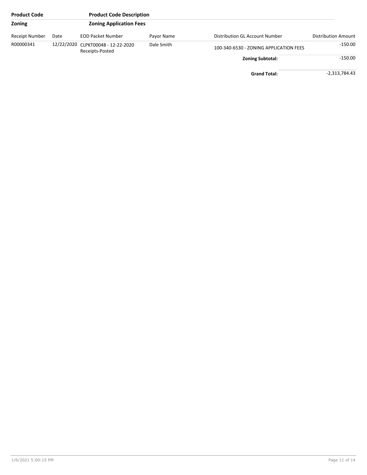| <b>Product Code</b> |      | <b>Product Code Description</b>                       |            |                                        |                     |
|---------------------|------|-------------------------------------------------------|------------|----------------------------------------|---------------------|
| Zoning              |      | <b>Zoning Application Fees</b>                        |            |                                        |                     |
| Receipt Number      | Date | <b>EOD Packet Number</b>                              | Payor Name | Distribution GL Account Number         | Distribution Amount |
| R00000341           |      | 12/22/2020 CLPKT00048 - 12-22-2020<br>Receipts-Posted | Dale Smith | 100-340-6530 - ZONING APPLICATION FEES | $-150.00$           |
|                     |      |                                                       |            | <b>Zoning Subtotal:</b>                | $-150.00$           |
|                     |      |                                                       |            | <b>Grand Total:</b>                    | $-2,313,784.43$     |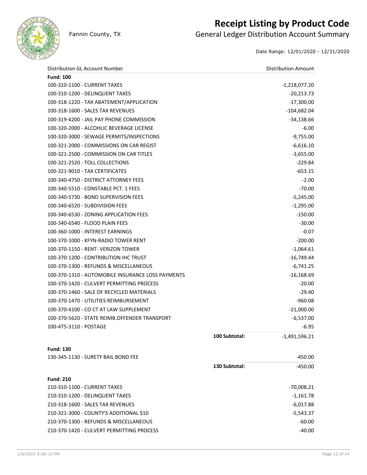

## **Receipt Listing by Product Code**

Fannin County, TX **General Ledger Distribution Account Summary** 

Date Range: 12/01/2020 - 12/31/2020

| Distribution GL Account Number                          |               | <b>Distribution Amount</b> |
|---------------------------------------------------------|---------------|----------------------------|
| <b>Fund: 100</b>                                        |               |                            |
| 100-310-1100 - CURRENT TAXES                            |               | $-1,218,077.20$            |
| 100-310-1200 - DELINQUENT TAXES                         |               | $-20,213.73$               |
| 100-318-1220 - TAX ABATEMENT/APPLICATION                |               | $-17,300.00$               |
| 100-318-1600 - SALES TAX REVENUES                       |               | $-104,682.04$              |
| 100-319-4200 - JAIL PAY PHONE COMMISSION                |               | $-34,138.66$               |
| 100-320-2000 - ALCOHLIC BEVERAGE LICENSE                |               | $-6.00$                    |
| 100-320-3000 - SEWAGE PERMITS/INSPECTIONS               |               | $-9,755.00$                |
| 100-321-2000 - COMMISSIONS ON CAR REGIST                |               | $-6,616.10$                |
| 100-321-2500 - COMMISSION ON CAR TITLES                 |               | $-3,655.00$                |
| 100-321-2520 - TOLL COLLECTIONS                         |               | $-229.84$                  |
| 100-321-9010 - TAX CERTIFICATES                         |               | $-653.15$                  |
| 100-340-4750 - DISTRICT ATTORNEY FEES                   |               | $-2.00$                    |
| 100-340-5510 - CONSTABLE PCT. 1 FEES                    |               | $-70.00$                   |
| 100-340-5730 - BOND SUPERVISION FEES                    |               | $-5,245.00$                |
| 100-340-6520 - SUBDIVISION FEES                         |               | $-1,295.00$                |
| 100-340-6530 - ZONING APPLICATION FEES                  |               | $-150.00$                  |
| 100-340-6540 - FLOOD PLAIN FEES                         |               | $-30.00$                   |
| 100-360-1000 - INTEREST EARNINGS                        |               | $-0.07$                    |
| 100-370-1000 - KFYN-RADIO TOWER RENT                    |               | $-200.00$                  |
| 100-370-1150 - RENT- VERIZON TOWER                      |               | $-1,064.61$                |
| 100-370-1200 - CONTRIBUTION IHC TRUST                   |               | $-16,749.44$               |
| 100-370-1300 - REFUNDS & MISCELLANEOUS                  |               | $-6,741.25$                |
| 100-370-1310 - AUTOMOBILE INSURANCE LOSS PAYMENTS       |               | $-16,168.69$               |
| 100-370-1420 - CULVERT PERMITTING PROCESS               |               | $-20.00$                   |
| 100-370-1460 - SALE OF RECYCLED MATERIALS               |               | $-29.40$                   |
| 100-370-1470 - UTILITIES REIMBURSEMENT                  |               | $-960.08$                  |
| 100-370-4100 - CO CT AT LAW SUPPLEMENT                  |               | $-21,000.00$               |
| 100-370-5620 - STATE REIMB.OFFENDER TRANSPORT           |               | $-6,537.00$                |
| 100-475-3110 - POSTAGE                                  |               | $-6.95$                    |
|                                                         | 100 Subtotal: | $-1,491,596.21$            |
| <b>Fund: 130</b><br>130-345-1130 - SURETY BAIL BOND FEE |               |                            |
|                                                         |               | -450.00                    |
|                                                         | 130 Subtotal: | $-450.00$                  |
| <b>Fund: 210</b><br>210-310-1100 - CURRENT TAXES        |               | $-70,008.21$               |
| 210-310-1200 - DELINQUENT TAXES                         |               | $-1,161.78$                |
| 210-318-1600 - SALES TAX REVENUES                       |               | $-6,017.88$                |
| 210-321-3000 - COUNTY'S ADDITIONAL \$10                 |               | $-5,543.37$                |
| 210-370-1300 - REFUNDS & MISCELLANEOUS                  |               | $-60.00$                   |
| 210-370-1420 - CULVERT PERMITTING PROCESS               |               | $-40.00$                   |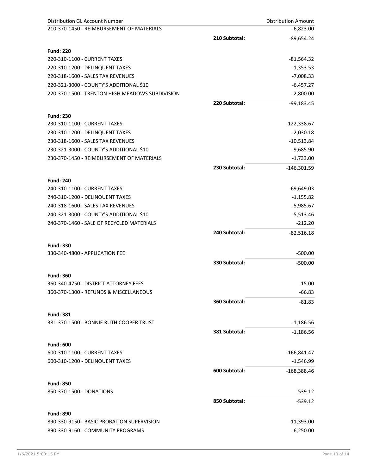| <b>Distribution GL Account Number</b>           | <b>Distribution Amount</b> |               |
|-------------------------------------------------|----------------------------|---------------|
| 210-370-1450 - REIMBURSEMENT OF MATERIALS       |                            | $-6,823.00$   |
|                                                 | 210 Subtotal:              | $-89,654.24$  |
| <b>Fund: 220</b>                                |                            |               |
| 220-310-1100 - CURRENT TAXES                    |                            | -81,564.32    |
| 220-310-1200 - DELINQUENT TAXES                 |                            | $-1,353.53$   |
| 220-318-1600 - SALES TAX REVENUES               |                            | $-7,008.33$   |
| 220-321-3000 - COUNTY'S ADDITIONAL \$10         |                            | $-6,457.27$   |
| 220-370-1500 - TRENTON HIGH MEADOWS SUBDIVISION |                            | $-2,800.00$   |
|                                                 | 220 Subtotal:              | $-99,183.45$  |
|                                                 |                            |               |
| <b>Fund: 230</b>                                |                            |               |
| 230-310-1100 - CURRENT TAXES                    |                            | -122,338.67   |
| 230-310-1200 - DELINQUENT TAXES                 |                            | $-2,030.18$   |
| 230-318-1600 - SALES TAX REVENUES               |                            | $-10,513.84$  |
| 230-321-3000 - COUNTY'S ADDITIONAL \$10         |                            | $-9,685.90$   |
| 230-370-1450 - REIMBURSEMENT OF MATERIALS       |                            | $-1,733.00$   |
|                                                 | 230 Subtotal:              | $-146,301.59$ |
| <b>Fund: 240</b>                                |                            |               |
| 240-310-1100 - CURRENT TAXES                    |                            | $-69,649.03$  |
| 240-310-1200 - DELINQUENT TAXES                 |                            | $-1,155.82$   |
| 240-318-1600 - SALES TAX REVENUES               |                            | $-5,985.67$   |
| 240-321-3000 - COUNTY'S ADDITIONAL \$10         |                            | $-5,513.46$   |
| 240-370-1460 - SALE OF RECYCLED MATERIALS       |                            | $-212.20$     |
|                                                 | 240 Subtotal:              | $-82,516.18$  |
| <b>Fund: 330</b>                                |                            |               |
| 330-340-4800 - APPLICATION FEE                  |                            | $-500.00$     |
|                                                 | 330 Subtotal:              | $-500.00$     |
|                                                 |                            |               |
| <b>Fund: 360</b>                                |                            |               |
| 360-340-4750 - DISTRICT ATTORNEY FEES           |                            | $-15.00$      |
| 360-370-1300 - REFUNDS & MISCELLANEOUS          |                            | $-66.83$      |
|                                                 | 360 Subtotal:              | $-81.83$      |
| <b>Fund: 381</b>                                |                            |               |
| 381-370-1500 - BONNIE RUTH COOPER TRUST         |                            | $-1,186.56$   |
|                                                 | 381 Subtotal:              | $-1,186.56$   |
| <b>Fund: 600</b>                                |                            |               |
| 600-310-1100 - CURRENT TAXES                    |                            | $-166,841.47$ |
| 600-310-1200 - DELINQUENT TAXES                 |                            | $-1,546.99$   |
|                                                 | 600 Subtotal:              | $-168,388.46$ |
|                                                 |                            |               |
| <b>Fund: 850</b>                                |                            |               |
| 850-370-1500 - DONATIONS                        |                            | $-539.12$     |
|                                                 | 850 Subtotal:              | $-539.12$     |
| <b>Fund: 890</b>                                |                            |               |
| 890-330-9150 - BASIC PROBATION SUPERVISION      |                            | $-11,393.00$  |
| 890-330-9160 - COMMUNITY PROGRAMS               |                            | $-6,250.00$   |